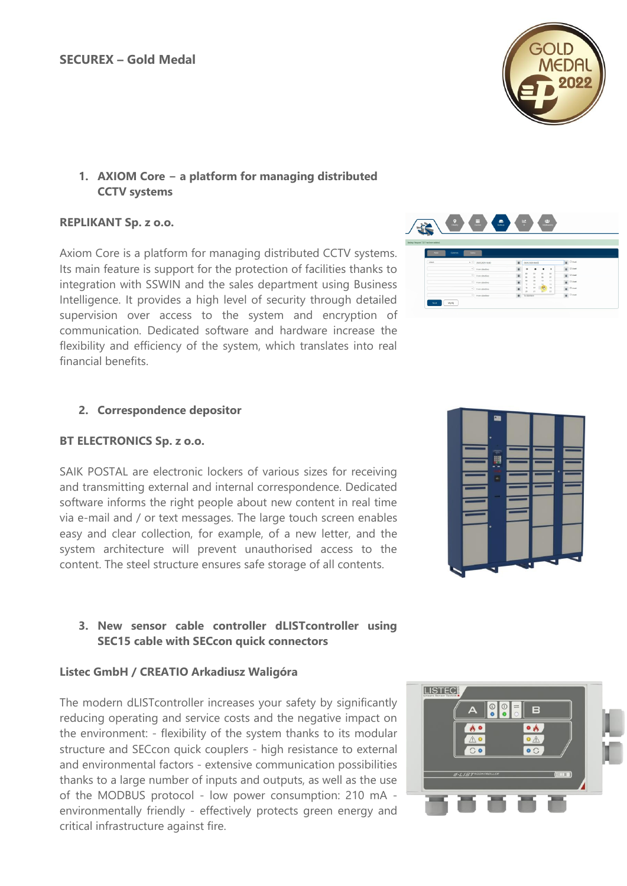# **1. AXIOM Core − a platform for managing distributed CCTV systems**

#### **REPLIKANT Sp. z o.o.**

Axiom Core is a platform for managing distributed CCTV systems. Its main feature is support for the protection of facilities thanks to integration with SSWIN and the sales department using Business Intelligence. It provides a high level of security through detailed supervision over access to the system and encryption of communication. Dedicated software and hardware increase the flexibility and efficiency of the system, which translates into real financial benefits.

## **2. Correspondence depositor**

#### **BT ELECTRONICS Sp. z o.o.**

SAIK POSTAL are electronic lockers of various sizes for receiving and transmitting external and internal correspondence. Dedicated software informs the right people about new content in real time via e-mail and / or text messages. The large touch screen enables easy and clear collection, for example, of a new letter, and the system architecture will prevent unauthorised access to the content. The steel structure ensures safe storage of all contents.

# **3. New sensor cable controller dLISTcontroller using SEC15 cable with SECcon quick connectors**

## **Listec GmbH / CREATIO Arkadiusz Waligóra**

The modern dLISTcontroller increases your safety by significantly reducing operating and service costs and the negative impact on the environment: - flexibility of the system thanks to its modular structure and SECcon quick couplers - high resistance to external and environmental factors - extensive communication possibilities thanks to a large number of inputs and outputs, as well as the use of the MODBUS protocol - low power consumption: 210 mA environmentally friendly - effectively protects green energy and critical infrastructure against fire.